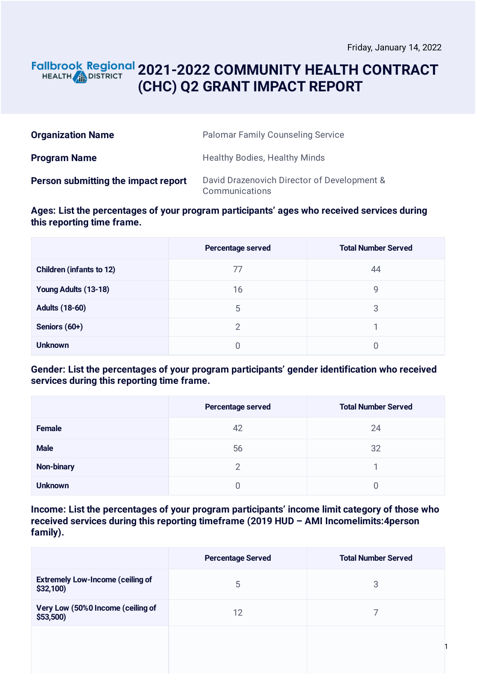## **2021-2022 COMMUNITY HEALTH CONTRACT** HEALTH **AND DISTRICT (CHC) Q2 GRANT IMPACT REPORT**

| <b>Organization Name</b>            | <b>Palomar Family Counseling Service</b>                      |
|-------------------------------------|---------------------------------------------------------------|
| <b>Program Name</b>                 | <b>Healthy Bodies, Healthy Minds</b>                          |
| Person submitting the impact report | David Drazenovich Director of Development &<br>Communications |

**Ages: List the percentages of your program participants' ages who received services during this reporting time frame.**

|                                 | Percentage served | <b>Total Number Served</b> |
|---------------------------------|-------------------|----------------------------|
| <b>Children (infants to 12)</b> | 77                | 44                         |
| Young Adults (13-18)            | 16                | 9                          |
| <b>Adults (18-60)</b>           | 5                 | 3                          |
| Seniors (60+)                   | 2                 |                            |
| <b>Unknown</b>                  | 0                 | 0                          |

### **Gender: List the percentages of your program participants' gender identification who received services during this reporting time frame.**

|                   | Percentage served | <b>Total Number Served</b> |
|-------------------|-------------------|----------------------------|
| <b>Female</b>     | 42                | 24                         |
| <b>Male</b>       | 56                | 32                         |
| <b>Non-binary</b> | 2                 |                            |
| <b>Unknown</b>    |                   | O                          |

**Income: List the percentages of your program participants' income limit category of those who received services during this reporting timeframe (2019 HUD – AMI Incomelimits:4person family).**

|                                                        | <b>Percentage Served</b> | <b>Total Number Served</b> |
|--------------------------------------------------------|--------------------------|----------------------------|
| <b>Extremely Low-Income (ceiling of</b><br>$$32,100$ ) | 5                        | 3                          |
| Very Low (50%0 Income (ceiling of<br>\$53,500          | 12                       |                            |
|                                                        |                          |                            |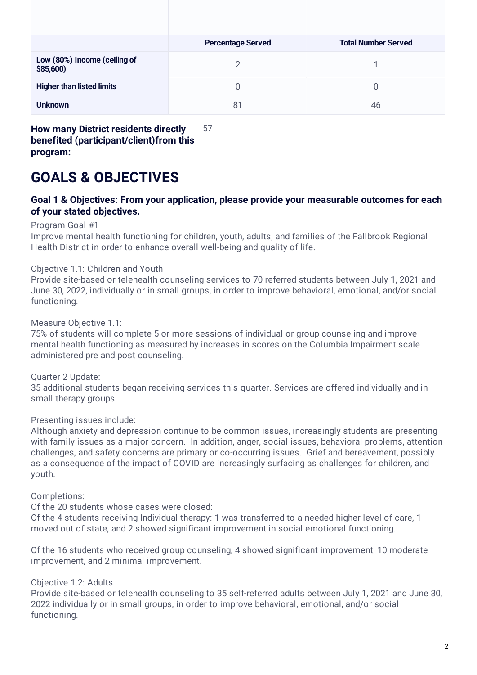|                                           | <b>Percentage Served</b> | <b>Total Number Served</b> |
|-------------------------------------------|--------------------------|----------------------------|
| Low (80%) Income (ceiling of<br>\$85,600) | 2                        |                            |
| <b>Higher than listed limits</b>          | 0                        | 0                          |
| <b>Unknown</b>                            | 81                       | 46                         |

**How many District residents directly benefited (participant/client)from this program:** 57

# **GOALS & OBJECTIVES**

### **Goal 1 & Objectives: From your application, please provide your measurable outcomes for each of your stated objectives.**

Program Goal #1

Improve mental health functioning for children, youth, adults, and families of the Fallbrook Regional Health District in order to enhance overall well-being and quality of life.

#### Objective 1.1: Children and Youth

Provide site-based or telehealth counseling services to 70 referred students between July 1, 2021 and June 30, 2022, individually or in small groups, in order to improve behavioral, emotional, and/or social functioning.

Measure Objective 1.1:

75% of students will complete 5 or more sessions of individual or group counseling and improve mental health functioning as measured by increases in scores on the Columbia Impairment scale administered pre and post counseling.

Quarter 2 Update:

35 additional students began receiving services this quarter. Services are offered individually and in small therapy groups.

Presenting issues include:

Although anxiety and depression continue to be common issues, increasingly students are presenting with family issues as a major concern. In addition, anger, social issues, behavioral problems, attention challenges, and safety concerns are primary or co-occurring issues. Grief and bereavement, possibly as a consequence of the impact of COVID are increasingly surfacing as challenges for children, and youth.

Completions:

Of the 20 students whose cases were closed:

Of the 4 students receiving Individual therapy: 1 was transferred to a needed higher level of care, 1 moved out of state, and 2 showed significant improvement in social emotional functioning.

Of the 16 students who received group counseling, 4 showed significant improvement, 10 moderate improvement, and 2 minimal improvement.

Objective 1.2: Adults

Provide site-based or telehealth counseling to 35 self-referred adults between July 1, 2021 and June 30, 2022 individually or in small groups, in order to improve behavioral, emotional, and/or social functioning.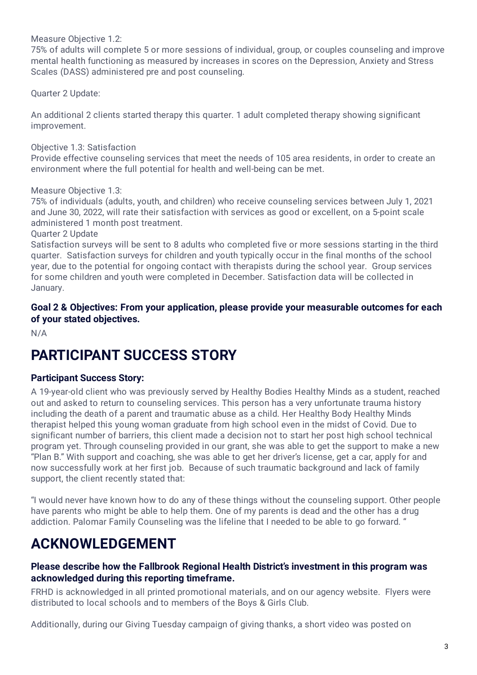Measure Objective 1.2:

75% of adults will complete 5 or more sessions of individual, group, or couples counseling and improve mental health functioning as measured by increases in scores on the Depression, Anxiety and Stress Scales (DASS) administered pre and post counseling.

Quarter 2 Update:

An additional 2 clients started therapy this quarter. 1 adult completed therapy showing significant improvement.

Objective 1.3: Satisfaction

Provide effective counseling services that meet the needs of 105 area residents, in order to create an environment where the full potential for health and well-being can be met.

Measure Objective 1.3:

75% of individuals (adults, youth, and children) who receive counseling services between July 1, 2021 and June 30, 2022, will rate their satisfaction with services as good or excellent, on a 5-point scale administered 1 month post treatment.

Quarter 2 Update

Satisfaction surveys will be sent to 8 adults who completed five or more sessions starting in the third quarter. Satisfaction surveys for children and youth typically occur in the final months of the school year, due to the potential for ongoing contact with therapists during the school year. Group services for some children and youth were completed in December. Satisfaction data will be collected in January.

### **Goal 2 & Objectives: From your application, please provide your measurable outcomes for each of your stated objectives.**

N/A

# **PARTICIPANT SUCCESS STORY**

#### **Participant Success Story:**

A 19-year-old client who was previously served by Healthy Bodies Healthy Minds as a student, reached out and asked to return to counseling services. This person has a very unfortunate trauma history including the death of a parent and traumatic abuse as a child. Her Healthy Body Healthy Minds therapist helped this young woman graduate from high school even in the midst of Covid. Due to significant number of barriers, this client made a decision not to start her post high school technical program yet. Through counseling provided in our grant, she was able to get the support to make a new "Plan B." With support and coaching, she was able to get her driver's license, get a car, apply for and now successfully work at her first job. Because of such traumatic background and lack of family support, the client recently stated that:

"I would never have known how to do any of these things without the counseling support. Other people have parents who might be able to help them. One of my parents is dead and the other has a drug addiction. Palomar Family Counseling was the lifeline that I needed to be able to go forward. "

# **ACKNOWLEDGEMENT**

#### **Please describe how the Fallbrook Regional Health District's investment in this program was acknowledged during this reporting timeframe.**

FRHD is acknowledged in all printed promotional materials, and on our agency website. Flyers were distributed to local schools and to members of the Boys & Girls Club.

Additionally, during our Giving Tuesday campaign of giving thanks, a short video was posted on